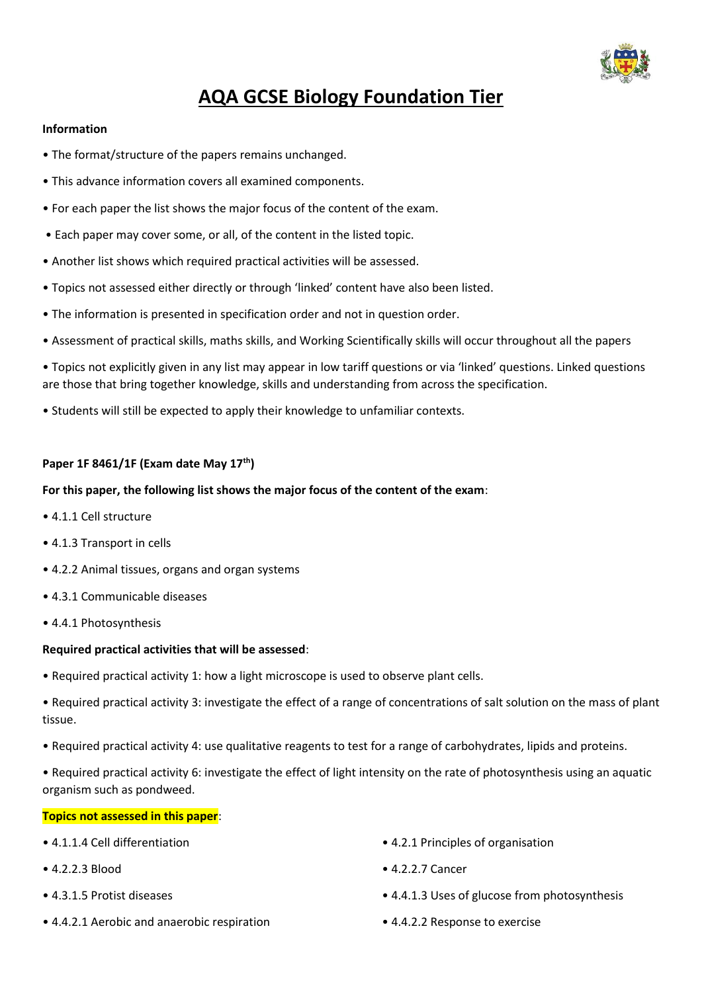

# **AQA GCSE Biology Foundation Tier**

## **Information**

- The format/structure of the papers remains unchanged.
- This advance information covers all examined components.
- For each paper the list shows the major focus of the content of the exam.
- Each paper may cover some, or all, of the content in the listed topic.
- Another list shows which required practical activities will be assessed.
- Topics not assessed either directly or through 'linked' content have also been listed.
- The information is presented in specification order and not in question order.
- Assessment of practical skills, maths skills, and Working Scientifically skills will occur throughout all the papers
- Topics not explicitly given in any list may appear in low tariff questions or via 'linked' questions. Linked questions are those that bring together knowledge, skills and understanding from across the specification.
- Students will still be expected to apply their knowledge to unfamiliar contexts.

# **Paper 1F 8461/1F (Exam date May 17th)**

# **For this paper, the following list shows the major focus of the content of the exam**:

- 4.1.1 Cell structure
- 4.1.3 Transport in cells
- 4.2.2 Animal tissues, organs and organ systems
- 4.3.1 Communicable diseases
- 4.4.1 Photosynthesis

## **Required practical activities that will be assessed**:

- Required practical activity 1: how a light microscope is used to observe plant cells.
- Required practical activity 3: investigate the effect of a range of concentrations of salt solution on the mass of plant tissue.
- Required practical activity 4: use qualitative reagents to test for a range of carbohydrates, lipids and proteins.

• Required practical activity 6: investigate the effect of light intensity on the rate of photosynthesis using an aquatic organism such as pondweed.

## **Topics not assessed in this paper**:

- 
- 
- 
- 4.4.2.1 Aerobic and anaerobic respiration 4.4.2.2 Response to exercise
- 4.1.1.4 Cell differentiation 4.2.1 Principles of organisation
- 4.2.2.3 Blood 4.2.2.7 Cancer
- 4.3.1.5 Protist diseases 4.4.1.3 Uses of glucose from photosynthesis
	-